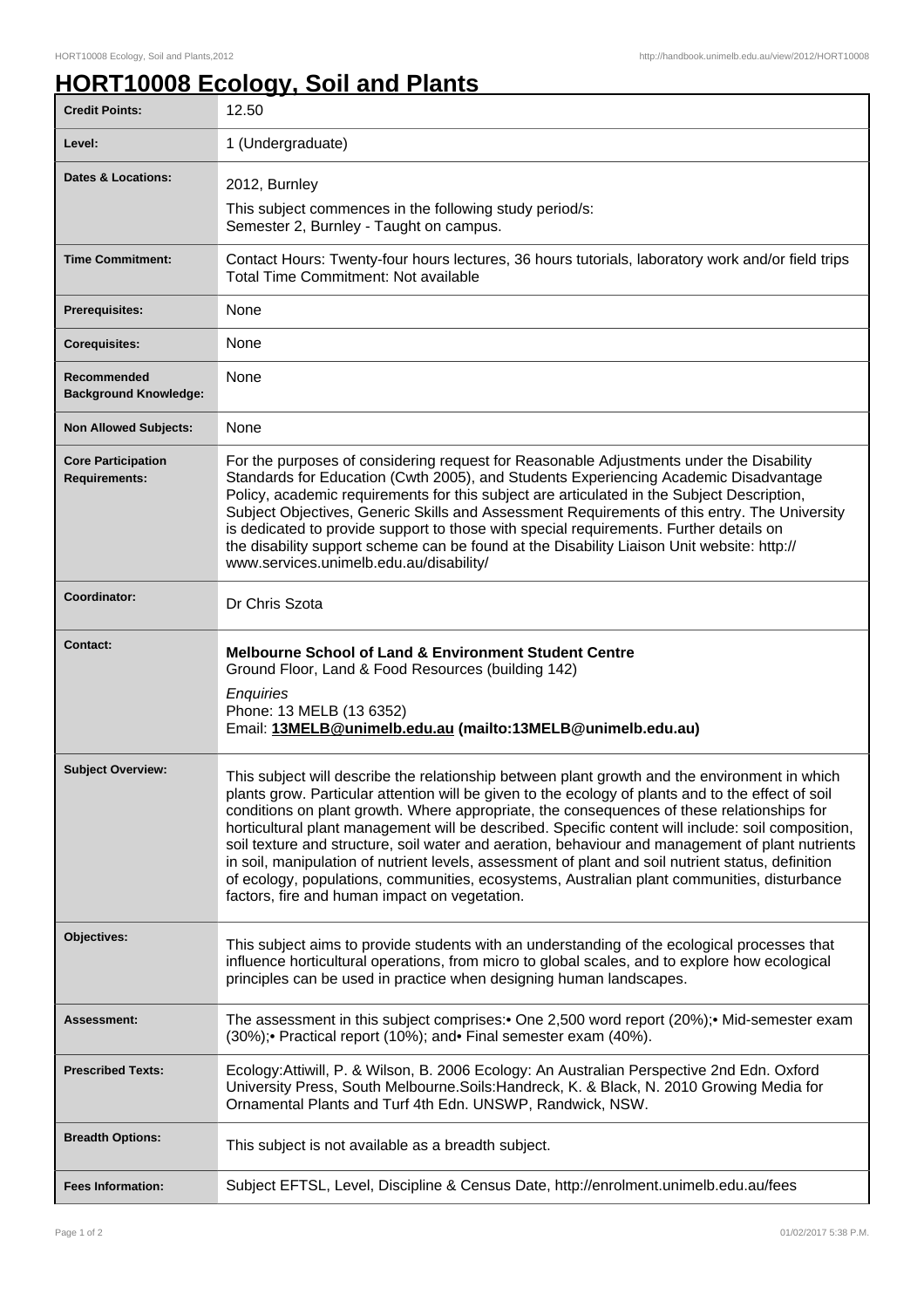## **HORT10008 Ecology, Soil and Plants**

| <b>Credit Points:</b>                             | 12.50                                                                                                                                                                                                                                                                                                                                                                                                                                                                                                                                                                                                                                                                                                                                                             |
|---------------------------------------------------|-------------------------------------------------------------------------------------------------------------------------------------------------------------------------------------------------------------------------------------------------------------------------------------------------------------------------------------------------------------------------------------------------------------------------------------------------------------------------------------------------------------------------------------------------------------------------------------------------------------------------------------------------------------------------------------------------------------------------------------------------------------------|
| Level:                                            | 1 (Undergraduate)                                                                                                                                                                                                                                                                                                                                                                                                                                                                                                                                                                                                                                                                                                                                                 |
| <b>Dates &amp; Locations:</b>                     | 2012, Burnley                                                                                                                                                                                                                                                                                                                                                                                                                                                                                                                                                                                                                                                                                                                                                     |
|                                                   | This subject commences in the following study period/s:<br>Semester 2, Burnley - Taught on campus.                                                                                                                                                                                                                                                                                                                                                                                                                                                                                                                                                                                                                                                                |
| <b>Time Commitment:</b>                           | Contact Hours: Twenty-four hours lectures, 36 hours tutorials, laboratory work and/or field trips<br>Total Time Commitment: Not available                                                                                                                                                                                                                                                                                                                                                                                                                                                                                                                                                                                                                         |
| Prerequisites:                                    | None                                                                                                                                                                                                                                                                                                                                                                                                                                                                                                                                                                                                                                                                                                                                                              |
| <b>Corequisites:</b>                              | None                                                                                                                                                                                                                                                                                                                                                                                                                                                                                                                                                                                                                                                                                                                                                              |
| Recommended<br><b>Background Knowledge:</b>       | None                                                                                                                                                                                                                                                                                                                                                                                                                                                                                                                                                                                                                                                                                                                                                              |
| <b>Non Allowed Subjects:</b>                      | None                                                                                                                                                                                                                                                                                                                                                                                                                                                                                                                                                                                                                                                                                                                                                              |
| <b>Core Participation</b><br><b>Requirements:</b> | For the purposes of considering request for Reasonable Adjustments under the Disability<br>Standards for Education (Cwth 2005), and Students Experiencing Academic Disadvantage<br>Policy, academic requirements for this subject are articulated in the Subject Description,<br>Subject Objectives, Generic Skills and Assessment Requirements of this entry. The University<br>is dedicated to provide support to those with special requirements. Further details on<br>the disability support scheme can be found at the Disability Liaison Unit website: http://<br>www.services.unimelb.edu.au/disability/                                                                                                                                                  |
| Coordinator:                                      | Dr Chris Szota                                                                                                                                                                                                                                                                                                                                                                                                                                                                                                                                                                                                                                                                                                                                                    |
| <b>Contact:</b>                                   | <b>Melbourne School of Land &amp; Environment Student Centre</b><br>Ground Floor, Land & Food Resources (building 142)<br>Enquiries<br>Phone: 13 MELB (13 6352)<br>Email: 13MELB@unimelb.edu.au (mailto:13MELB@unimelb.edu.au)                                                                                                                                                                                                                                                                                                                                                                                                                                                                                                                                    |
| <b>Subject Overview:</b>                          | This subject will describe the relationship between plant growth and the environment in which<br>plants grow. Particular attention will be given to the ecology of plants and to the effect of soil<br>conditions on plant growth. Where appropriate, the consequences of these relationships for<br>horticultural plant management will be described. Specific content will include: soil composition,<br>soil texture and structure, soil water and aeration, behaviour and management of plant nutrients<br>in soil, manipulation of nutrient levels, assessment of plant and soil nutrient status, definition<br>of ecology, populations, communities, ecosystems, Australian plant communities, disturbance<br>factors, fire and human impact on vegetation. |
| <b>Objectives:</b>                                | This subject aims to provide students with an understanding of the ecological processes that<br>influence horticultural operations, from micro to global scales, and to explore how ecological<br>principles can be used in practice when designing human landscapes.                                                                                                                                                                                                                                                                                                                                                                                                                                                                                             |
| <b>Assessment:</b>                                | The assessment in this subject comprises:• One 2,500 word report (20%);• Mid-semester exam<br>(30%); Practical report (10%); and Final semester exam (40%).                                                                                                                                                                                                                                                                                                                                                                                                                                                                                                                                                                                                       |
| <b>Prescribed Texts:</b>                          | Ecology: Attiwill, P. & Wilson, B. 2006 Ecology: An Australian Perspective 2nd Edn. Oxford<br>University Press, South Melbourne. Soils: Handreck, K. & Black, N. 2010 Growing Media for<br>Ornamental Plants and Turf 4th Edn. UNSWP, Randwick, NSW.                                                                                                                                                                                                                                                                                                                                                                                                                                                                                                              |
| <b>Breadth Options:</b>                           | This subject is not available as a breadth subject.                                                                                                                                                                                                                                                                                                                                                                                                                                                                                                                                                                                                                                                                                                               |
| <b>Fees Information:</b>                          | Subject EFTSL, Level, Discipline & Census Date, http://enrolment.unimelb.edu.au/fees                                                                                                                                                                                                                                                                                                                                                                                                                                                                                                                                                                                                                                                                              |